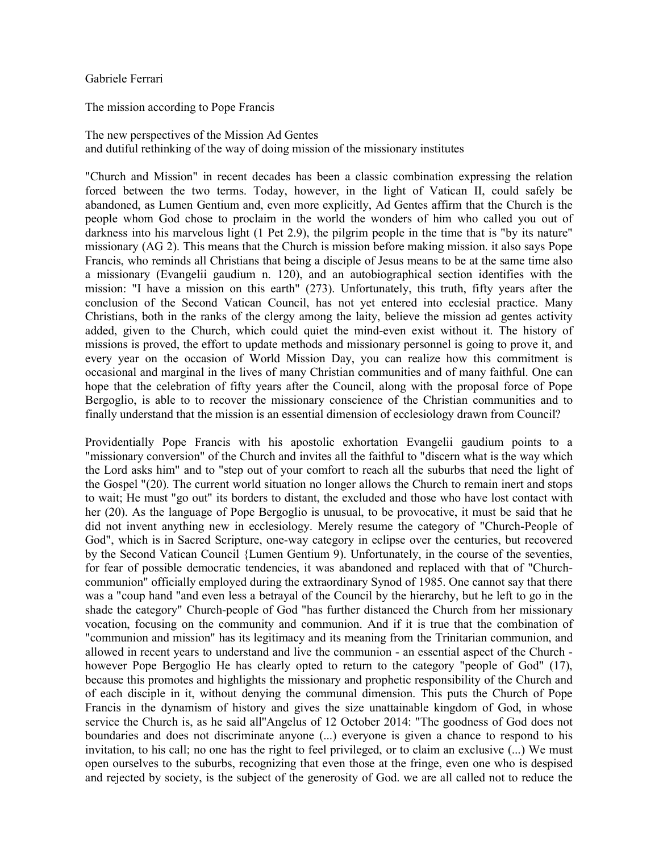## Gabriele Ferrari

The mission according to Pope Francis

The new perspectives of the Mission Ad Gentes and dutiful rethinking of the way of doing mission of the missionary institutes

"Church and Mission" in recent decades has been a classic combination expressing the relation forced between the two terms. Today, however, in the light of Vatican II, could safely be abandoned, as Lumen Gentium and, even more explicitly, Ad Gentes affirm that the Church is the people whom God chose to proclaim in the world the wonders of him who called you out of darkness into his marvelous light (1 Pet 2.9), the pilgrim people in the time that is "by its nature" missionary (AG 2). This means that the Church is mission before making mission. it also says Pope Francis, who reminds all Christians that being a disciple of Jesus means to be at the same time also a missionary (Evangelii gaudium n. 120), and an autobiographical section identifies with the mission: "I have a mission on this earth" (273). Unfortunately, this truth, fifty years after the conclusion of the Second Vatican Council, has not yet entered into ecclesial practice. Many Christians, both in the ranks of the clergy among the laity, believe the mission ad gentes activity added, given to the Church, which could quiet the mind-even exist without it. The history of missions is proved, the effort to update methods and missionary personnel is going to prove it, and every year on the occasion of World Mission Day, you can realize how this commitment is occasional and marginal in the lives of many Christian communities and of many faithful. One can hope that the celebration of fifty years after the Council, along with the proposal force of Pope Bergoglio, is able to to recover the missionary conscience of the Christian communities and to finally understand that the mission is an essential dimension of ecclesiology drawn from Council?

Providentially Pope Francis with his apostolic exhortation Evangelii gaudium points to a "missionary conversion" of the Church and invites all the faithful to "discern what is the way which the Lord asks him" and to "step out of your comfort to reach all the suburbs that need the light of the Gospel "(20). The current world situation no longer allows the Church to remain inert and stops to wait; He must "go out" its borders to distant, the excluded and those who have lost contact with her (20). As the language of Pope Bergoglio is unusual, to be provocative, it must be said that he did not invent anything new in ecclesiology. Merely resume the category of "Church-People of God", which is in Sacred Scripture, one-way category in eclipse over the centuries, but recovered by the Second Vatican Council {Lumen Gentium 9). Unfortunately, in the course of the seventies, for fear of possible democratic tendencies, it was abandoned and replaced with that of "Churchcommunion" officially employed during the extraordinary Synod of 1985. One cannot say that there was a "coup hand "and even less a betrayal of the Council by the hierarchy, but he left to go in the shade the category" Church-people of God "has further distanced the Church from her missionary vocation, focusing on the community and communion. And if it is true that the combination of "communion and mission" has its legitimacy and its meaning from the Trinitarian communion, and allowed in recent years to understand and live the communion - an essential aspect of the Church however Pope Bergoglio He has clearly opted to return to the category "people of God" (17), because this promotes and highlights the missionary and prophetic responsibility of the Church and of each disciple in it, without denying the communal dimension. This puts the Church of Pope Francis in the dynamism of history and gives the size unattainable kingdom of God, in whose service the Church is, as he said all''Angelus of 12 October 2014: "The goodness of God does not boundaries and does not discriminate anyone (...) everyone is given a chance to respond to his invitation, to his call; no one has the right to feel privileged, or to claim an exclusive (...) We must open ourselves to the suburbs, recognizing that even those at the fringe, even one who is despised and rejected by society, is the subject of the generosity of God. we are all called not to reduce the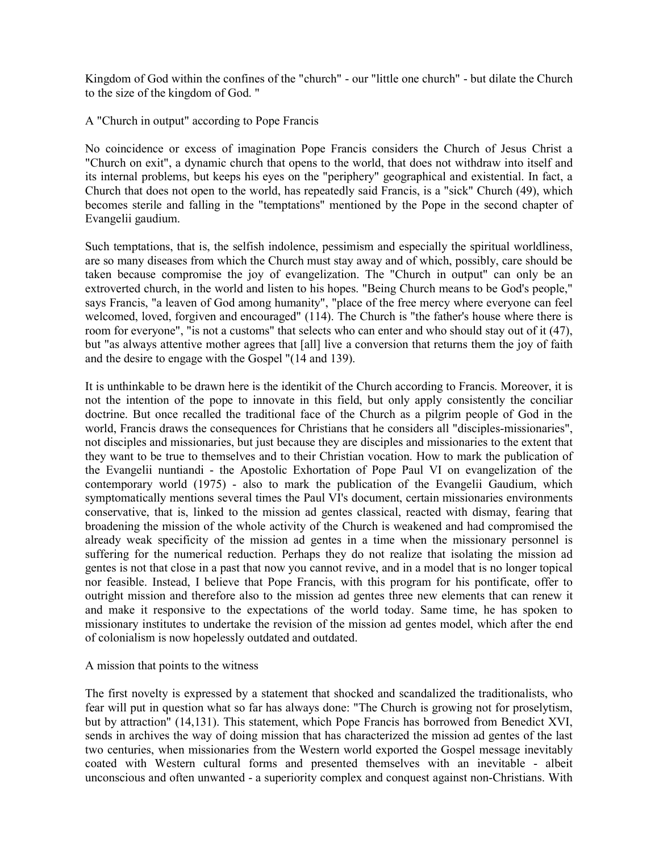Kingdom of God within the confines of the "church" - our "little one church" - but dilate the Church to the size of the kingdom of God. "

A "Church in output" according to Pope Francis

No coincidence or excess of imagination Pope Francis considers the Church of Jesus Christ a "Church on exit", a dynamic church that opens to the world, that does not withdraw into itself and its internal problems, but keeps his eyes on the "periphery" geographical and existential. In fact, a Church that does not open to the world, has repeatedly said Francis, is a "sick" Church (49), which becomes sterile and falling in the "temptations" mentioned by the Pope in the second chapter of Evangelii gaudium.

Such temptations, that is, the selfish indolence, pessimism and especially the spiritual worldliness, are so many diseases from which the Church must stay away and of which, possibly, care should be taken because compromise the joy of evangelization. The "Church in output" can only be an extroverted church, in the world and listen to his hopes. "Being Church means to be God's people," says Francis, "a leaven of God among humanity", "place of the free mercy where everyone can feel welcomed, loved, forgiven and encouraged" (114). The Church is "the father's house where there is room for everyone", "is not a customs" that selects who can enter and who should stay out of it (47), but "as always attentive mother agrees that [all] live a conversion that returns them the joy of faith and the desire to engage with the Gospel "(14 and 139).

It is unthinkable to be drawn here is the identikit of the Church according to Francis. Moreover, it is not the intention of the pope to innovate in this field, but only apply consistently the conciliar doctrine. But once recalled the traditional face of the Church as a pilgrim people of God in the world, Francis draws the consequences for Christians that he considers all "disciples-missionaries", not disciples and missionaries, but just because they are disciples and missionaries to the extent that they want to be true to themselves and to their Christian vocation. How to mark the publication of the Evangelii nuntiandi - the Apostolic Exhortation of Pope Paul VI on evangelization of the contemporary world (1975) - also to mark the publication of the Evangelii Gaudium, which symptomatically mentions several times the Paul VI's document, certain missionaries environments conservative, that is, linked to the mission ad gentes classical, reacted with dismay, fearing that broadening the mission of the whole activity of the Church is weakened and had compromised the already weak specificity of the mission ad gentes in a time when the missionary personnel is suffering for the numerical reduction. Perhaps they do not realize that isolating the mission ad gentes is not that close in a past that now you cannot revive, and in a model that is no longer topical nor feasible. Instead, I believe that Pope Francis, with this program for his pontificate, offer to outright mission and therefore also to the mission ad gentes three new elements that can renew it and make it responsive to the expectations of the world today. Same time, he has spoken to missionary institutes to undertake the revision of the mission ad gentes model, which after the end of colonialism is now hopelessly outdated and outdated.

## A mission that points to the witness

The first novelty is expressed by a statement that shocked and scandalized the traditionalists, who fear will put in question what so far has always done: "The Church is growing not for proselytism, but by attraction" (14,131). This statement, which Pope Francis has borrowed from Benedict XVI, sends in archives the way of doing mission that has characterized the mission ad gentes of the last two centuries, when missionaries from the Western world exported the Gospel message inevitably coated with Western cultural forms and presented themselves with an inevitable - albeit unconscious and often unwanted - a superiority complex and conquest against non-Christians. With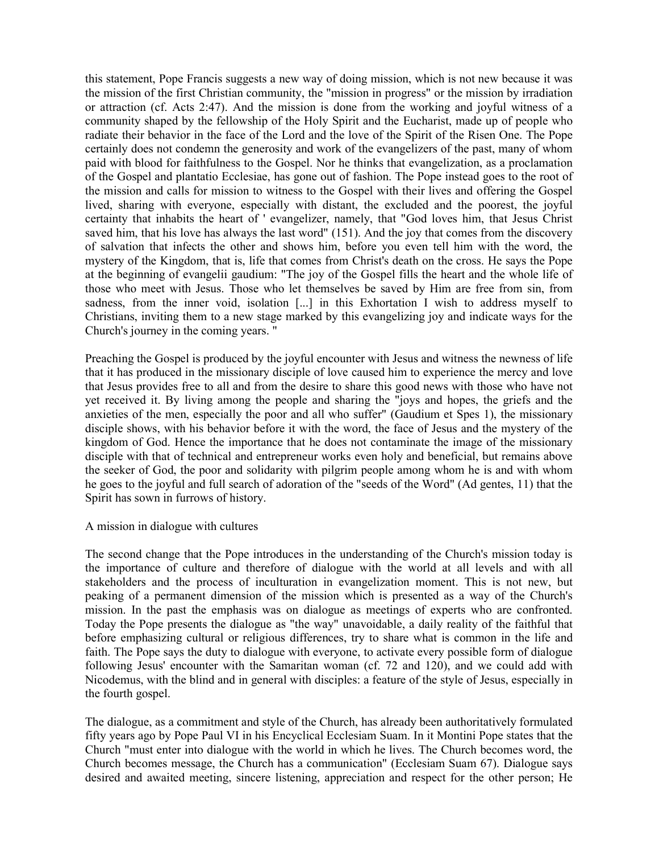this statement, Pope Francis suggests a new way of doing mission, which is not new because it was the mission of the first Christian community, the "mission in progress" or the mission by irradiation or attraction (cf. Acts 2:47). And the mission is done from the working and joyful witness of a community shaped by the fellowship of the Holy Spirit and the Eucharist, made up of people who radiate their behavior in the face of the Lord and the love of the Spirit of the Risen One. The Pope certainly does not condemn the generosity and work of the evangelizers of the past, many of whom paid with blood for faithfulness to the Gospel. Nor he thinks that evangelization, as a proclamation of the Gospel and plantatio Ecclesiae, has gone out of fashion. The Pope instead goes to the root of the mission and calls for mission to witness to the Gospel with their lives and offering the Gospel lived, sharing with everyone, especially with distant, the excluded and the poorest, the joyful certainty that inhabits the heart of ' evangelizer, namely, that "God loves him, that Jesus Christ saved him, that his love has always the last word" (151). And the joy that comes from the discovery of salvation that infects the other and shows him, before you even tell him with the word, the mystery of the Kingdom, that is, life that comes from Christ's death on the cross. He says the Pope at the beginning of evangelii gaudium: "The joy of the Gospel fills the heart and the whole life of those who meet with Jesus. Those who let themselves be saved by Him are free from sin, from sadness, from the inner void, isolation [...] in this Exhortation I wish to address myself to Christians, inviting them to a new stage marked by this evangelizing joy and indicate ways for the Church's journey in the coming years. "

Preaching the Gospel is produced by the joyful encounter with Jesus and witness the newness of life that it has produced in the missionary disciple of love caused him to experience the mercy and love that Jesus provides free to all and from the desire to share this good news with those who have not yet received it. By living among the people and sharing the "joys and hopes, the griefs and the anxieties of the men, especially the poor and all who suffer" (Gaudium et Spes 1), the missionary disciple shows, with his behavior before it with the word, the face of Jesus and the mystery of the kingdom of God. Hence the importance that he does not contaminate the image of the missionary disciple with that of technical and entrepreneur works even holy and beneficial, but remains above the seeker of God, the poor and solidarity with pilgrim people among whom he is and with whom he goes to the joyful and full search of adoration of the "seeds of the Word" (Ad gentes, 11) that the Spirit has sown in furrows of history.

A mission in dialogue with cultures

The second change that the Pope introduces in the understanding of the Church's mission today is the importance of culture and therefore of dialogue with the world at all levels and with all stakeholders and the process of inculturation in evangelization moment. This is not new, but peaking of a permanent dimension of the mission which is presented as a way of the Church's mission. In the past the emphasis was on dialogue as meetings of experts who are confronted. Today the Pope presents the dialogue as "the way" unavoidable, a daily reality of the faithful that before emphasizing cultural or religious differences, try to share what is common in the life and faith. The Pope says the duty to dialogue with everyone, to activate every possible form of dialogue following Jesus' encounter with the Samaritan woman (cf. 72 and 120), and we could add with Nicodemus, with the blind and in general with disciples: a feature of the style of Jesus, especially in the fourth gospel.

The dialogue, as a commitment and style of the Church, has already been authoritatively formulated fifty years ago by Pope Paul VI in his Encyclical Ecclesiam Suam. In it Montini Pope states that the Church "must enter into dialogue with the world in which he lives. The Church becomes word, the Church becomes message, the Church has a communication" (Ecclesiam Suam 67). Dialogue says desired and awaited meeting, sincere listening, appreciation and respect for the other person; He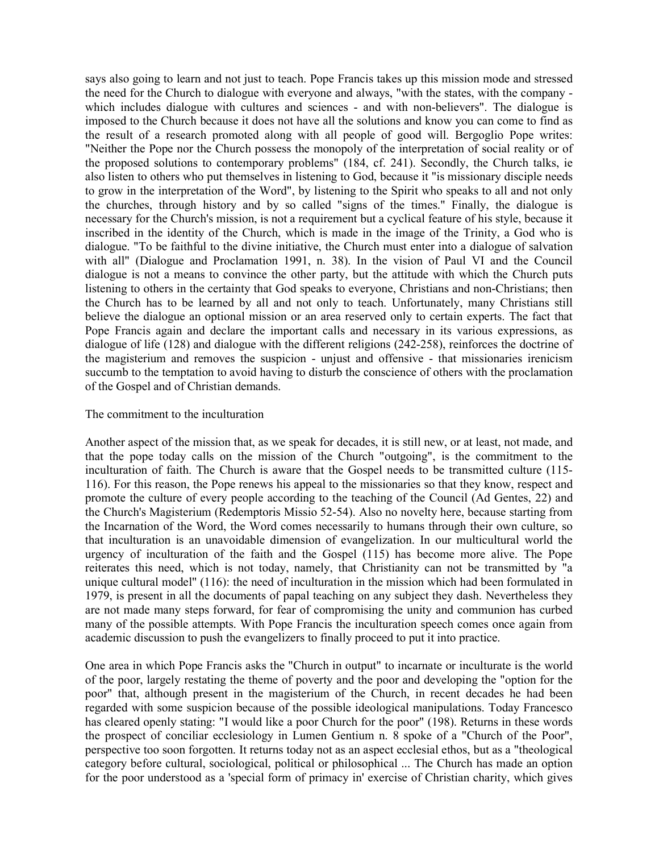says also going to learn and not just to teach. Pope Francis takes up this mission mode and stressed the need for the Church to dialogue with everyone and always, "with the states, with the company which includes dialogue with cultures and sciences - and with non-believers". The dialogue is imposed to the Church because it does not have all the solutions and know you can come to find as the result of a research promoted along with all people of good will. Bergoglio Pope writes: "Neither the Pope nor the Church possess the monopoly of the interpretation of social reality or of the proposed solutions to contemporary problems" (184, cf. 241). Secondly, the Church talks, ie also listen to others who put themselves in listening to God, because it "is missionary disciple needs to grow in the interpretation of the Word", by listening to the Spirit who speaks to all and not only the churches, through history and by so called "signs of the times." Finally, the dialogue is necessary for the Church's mission, is not a requirement but a cyclical feature of his style, because it inscribed in the identity of the Church, which is made in the image of the Trinity, a God who is dialogue. "To be faithful to the divine initiative, the Church must enter into a dialogue of salvation with all" (Dialogue and Proclamation 1991, n. 38). In the vision of Paul VI and the Council dialogue is not a means to convince the other party, but the attitude with which the Church puts listening to others in the certainty that God speaks to everyone, Christians and non-Christians; then the Church has to be learned by all and not only to teach. Unfortunately, many Christians still believe the dialogue an optional mission or an area reserved only to certain experts. The fact that Pope Francis again and declare the important calls and necessary in its various expressions, as dialogue of life (128) and dialogue with the different religions (242-258), reinforces the doctrine of the magisterium and removes the suspicion - unjust and offensive - that missionaries irenicism succumb to the temptation to avoid having to disturb the conscience of others with the proclamation of the Gospel and of Christian demands.

## The commitment to the inculturation

Another aspect of the mission that, as we speak for decades, it is still new, or at least, not made, and that the pope today calls on the mission of the Church "outgoing", is the commitment to the inculturation of faith. The Church is aware that the Gospel needs to be transmitted culture (115- 116). For this reason, the Pope renews his appeal to the missionaries so that they know, respect and promote the culture of every people according to the teaching of the Council (Ad Gentes, 22) and the Church's Magisterium (Redemptoris Missio 52-54). Also no novelty here, because starting from the Incarnation of the Word, the Word comes necessarily to humans through their own culture, so that inculturation is an unavoidable dimension of evangelization. In our multicultural world the urgency of inculturation of the faith and the Gospel (115) has become more alive. The Pope reiterates this need, which is not today, namely, that Christianity can not be transmitted by "a unique cultural model" (116): the need of inculturation in the mission which had been formulated in 1979, is present in all the documents of papal teaching on any subject they dash. Nevertheless they are not made many steps forward, for fear of compromising the unity and communion has curbed many of the possible attempts. With Pope Francis the inculturation speech comes once again from academic discussion to push the evangelizers to finally proceed to put it into practice.

One area in which Pope Francis asks the "Church in output" to incarnate or inculturate is the world of the poor, largely restating the theme of poverty and the poor and developing the "option for the poor" that, although present in the magisterium of the Church, in recent decades he had been regarded with some suspicion because of the possible ideological manipulations. Today Francesco has cleared openly stating: "I would like a poor Church for the poor" (198). Returns in these words the prospect of conciliar ecclesiology in Lumen Gentium n. 8 spoke of a "Church of the Poor", perspective too soon forgotten. It returns today not as an aspect ecclesial ethos, but as a "theological category before cultural, sociological, political or philosophical ... The Church has made an option for the poor understood as a 'special form of primacy in' exercise of Christian charity, which gives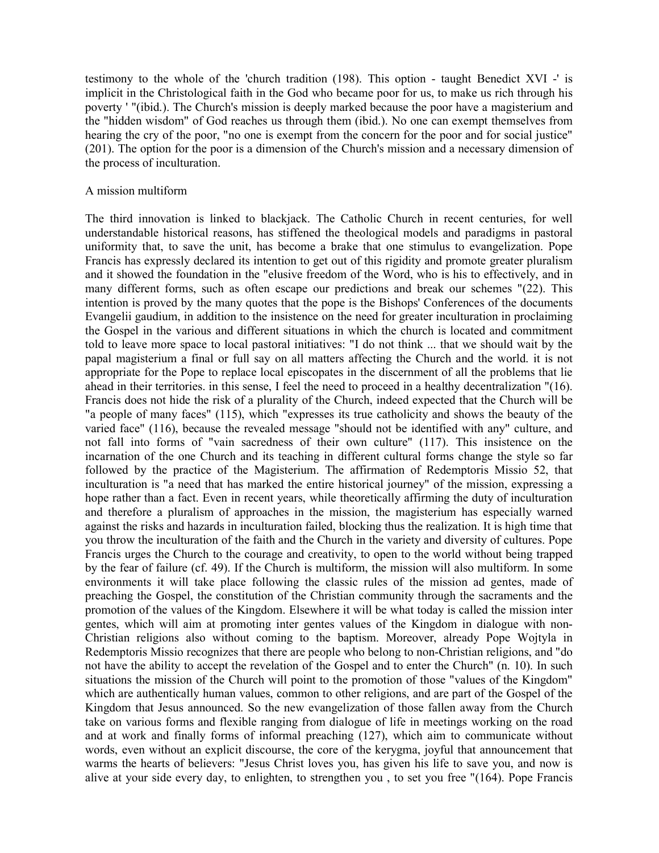testimony to the whole of the 'church tradition (198). This option - taught Benedict XVI -' is implicit in the Christological faith in the God who became poor for us, to make us rich through his poverty ' "(ibid.). The Church's mission is deeply marked because the poor have a magisterium and the "hidden wisdom" of God reaches us through them (ibid.). No one can exempt themselves from hearing the cry of the poor, "no one is exempt from the concern for the poor and for social justice" (201). The option for the poor is a dimension of the Church's mission and a necessary dimension of the process of inculturation.

## A mission multiform

The third innovation is linked to blackjack. The Catholic Church in recent centuries, for well understandable historical reasons, has stiffened the theological models and paradigms in pastoral uniformity that, to save the unit, has become a brake that one stimulus to evangelization. Pope Francis has expressly declared its intention to get out of this rigidity and promote greater pluralism and it showed the foundation in the "elusive freedom of the Word, who is his to effectively, and in many different forms, such as often escape our predictions and break our schemes "(22). This intention is proved by the many quotes that the pope is the Bishops' Conferences of the documents Evangelii gaudium, in addition to the insistence on the need for greater inculturation in proclaiming the Gospel in the various and different situations in which the church is located and commitment told to leave more space to local pastoral initiatives: "I do not think ... that we should wait by the papal magisterium a final or full say on all matters affecting the Church and the world. it is not appropriate for the Pope to replace local episcopates in the discernment of all the problems that lie ahead in their territories. in this sense, I feel the need to proceed in a healthy decentralization "(16). Francis does not hide the risk of a plurality of the Church, indeed expected that the Church will be "a people of many faces" (115), which "expresses its true catholicity and shows the beauty of the varied face" (116), because the revealed message "should not be identified with any" culture, and not fall into forms of "vain sacredness of their own culture" (117). This insistence on the incarnation of the one Church and its teaching in different cultural forms change the style so far followed by the practice of the Magisterium. The affirmation of Redemptoris Missio 52, that inculturation is "a need that has marked the entire historical journey" of the mission, expressing a hope rather than a fact. Even in recent years, while theoretically affirming the duty of inculturation and therefore a pluralism of approaches in the mission, the magisterium has especially warned against the risks and hazards in inculturation failed, blocking thus the realization. It is high time that you throw the inculturation of the faith and the Church in the variety and diversity of cultures. Pope Francis urges the Church to the courage and creativity, to open to the world without being trapped by the fear of failure (cf. 49). If the Church is multiform, the mission will also multiform. In some environments it will take place following the classic rules of the mission ad gentes, made of preaching the Gospel, the constitution of the Christian community through the sacraments and the promotion of the values of the Kingdom. Elsewhere it will be what today is called the mission inter gentes, which will aim at promoting inter gentes values of the Kingdom in dialogue with non-Christian religions also without coming to the baptism. Moreover, already Pope Wojtyla in Redemptoris Missio recognizes that there are people who belong to non-Christian religions, and "do not have the ability to accept the revelation of the Gospel and to enter the Church" (n. 10). In such situations the mission of the Church will point to the promotion of those "values of the Kingdom" which are authentically human values, common to other religions, and are part of the Gospel of the Kingdom that Jesus announced. So the new evangelization of those fallen away from the Church take on various forms and flexible ranging from dialogue of life in meetings working on the road and at work and finally forms of informal preaching (127), which aim to communicate without words, even without an explicit discourse, the core of the kerygma, joyful that announcement that warms the hearts of believers: "Jesus Christ loves you, has given his life to save you, and now is alive at your side every day, to enlighten, to strengthen you , to set you free "(164). Pope Francis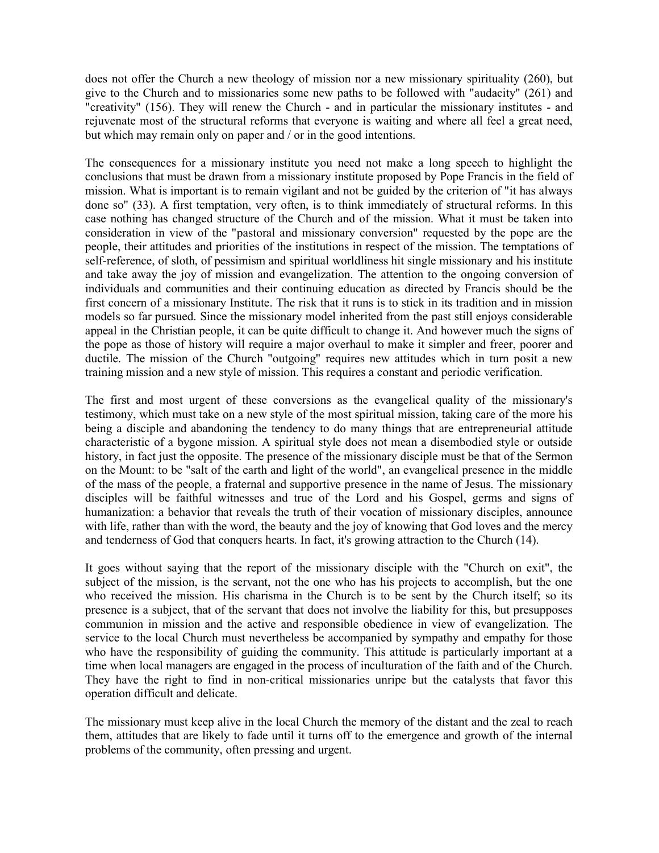does not offer the Church a new theology of mission nor a new missionary spirituality (260), but give to the Church and to missionaries some new paths to be followed with "audacity" (261) and "creativity" (156). They will renew the Church - and in particular the missionary institutes - and rejuvenate most of the structural reforms that everyone is waiting and where all feel a great need, but which may remain only on paper and / or in the good intentions.

The consequences for a missionary institute you need not make a long speech to highlight the conclusions that must be drawn from a missionary institute proposed by Pope Francis in the field of mission. What is important is to remain vigilant and not be guided by the criterion of "it has always done so" (33). A first temptation, very often, is to think immediately of structural reforms. In this case nothing has changed structure of the Church and of the mission. What it must be taken into consideration in view of the "pastoral and missionary conversion" requested by the pope are the people, their attitudes and priorities of the institutions in respect of the mission. The temptations of self-reference, of sloth, of pessimism and spiritual worldliness hit single missionary and his institute and take away the joy of mission and evangelization. The attention to the ongoing conversion of individuals and communities and their continuing education as directed by Francis should be the first concern of a missionary Institute. The risk that it runs is to stick in its tradition and in mission models so far pursued. Since the missionary model inherited from the past still enjoys considerable appeal in the Christian people, it can be quite difficult to change it. And however much the signs of the pope as those of history will require a major overhaul to make it simpler and freer, poorer and ductile. The mission of the Church "outgoing" requires new attitudes which in turn posit a new training mission and a new style of mission. This requires a constant and periodic verification.

The first and most urgent of these conversions as the evangelical quality of the missionary's testimony, which must take on a new style of the most spiritual mission, taking care of the more his being a disciple and abandoning the tendency to do many things that are entrepreneurial attitude characteristic of a bygone mission. A spiritual style does not mean a disembodied style or outside history, in fact just the opposite. The presence of the missionary disciple must be that of the Sermon on the Mount: to be "salt of the earth and light of the world", an evangelical presence in the middle of the mass of the people, a fraternal and supportive presence in the name of Jesus. The missionary disciples will be faithful witnesses and true of the Lord and his Gospel, germs and signs of humanization: a behavior that reveals the truth of their vocation of missionary disciples, announce with life, rather than with the word, the beauty and the joy of knowing that God loves and the mercy and tenderness of God that conquers hearts. In fact, it's growing attraction to the Church (14).

It goes without saying that the report of the missionary disciple with the "Church on exit", the subject of the mission, is the servant, not the one who has his projects to accomplish, but the one who received the mission. His charisma in the Church is to be sent by the Church itself; so its presence is a subject, that of the servant that does not involve the liability for this, but presupposes communion in mission and the active and responsible obedience in view of evangelization. The service to the local Church must nevertheless be accompanied by sympathy and empathy for those who have the responsibility of guiding the community. This attitude is particularly important at a time when local managers are engaged in the process of inculturation of the faith and of the Church. They have the right to find in non-critical missionaries unripe but the catalysts that favor this operation difficult and delicate.

The missionary must keep alive in the local Church the memory of the distant and the zeal to reach them, attitudes that are likely to fade until it turns off to the emergence and growth of the internal problems of the community, often pressing and urgent.